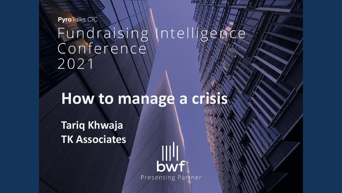**PyroTalks CIC** 

Fundraising Intelligence Conference 2021

**information**

For: Sitecore

 $28$  March 2018

## **How to manage a crisis**

**Tariq Khwaja TK Associates**

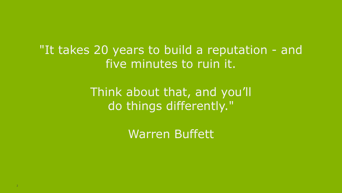"It takes 20 years to build a reputation - and five minutes to ruin it.

> Think about that, and you'll do things differently."

> > Warren Buffett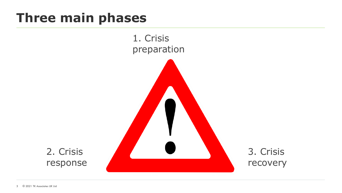#### **Three main phases**

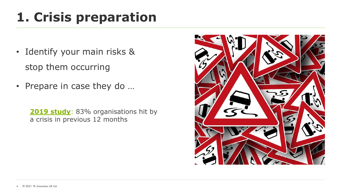## **1. Crisis preparation**

- Identify your main risks & stop them occurring
- Prepare in case they do …

**[2019 study](https://www.tk-associates.com/2019/06/04/companies-hit-by-crises-struggle-with-speed/)**: 83% organisations hit by a crisis in previous 12 months

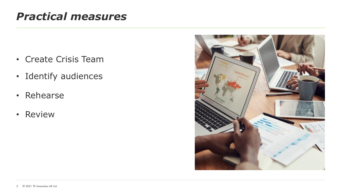#### *Practical measures*

- Create Crisis Team
- Identify audiences
- Rehearse
- Review

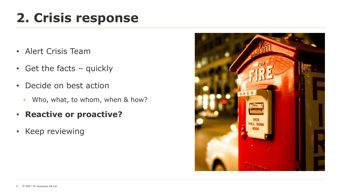# **2. Crisis response**

- Alert Crisis Team
- Get the facts quickly
- Decide on best action
	- Who, what, to whom, when & how?
- **Reactive or proactive?**
- Keep reviewing

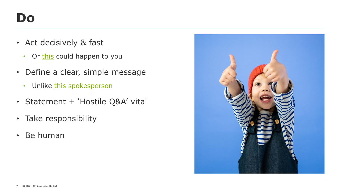- Act decisively & fast
	- Or [this](https://www.tk-associates.com/2019/09/20/dead-in-48-hours-how-fast-a-crisis-can-kill-you/) could happen to you
- Define a clear, simple message
	- Unlike [this spokesperson](https://www.tk-associates.com/2017/09/18/instructive-media-interview/)
- Statement + 'Hostile Q&A' vital
- Take responsibility
- Be human

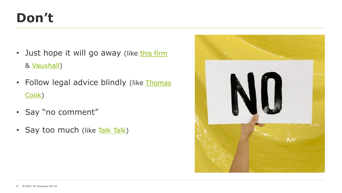### **Don't**

- Just hope it will go away (like [this firm](https://www.tk-associates.com/2020/08/06/i-thought-it-best-just-to-ignore-it/) & [Vauxhall](https://www.tk-associates.com/2017/04/28/vauxhall-fire-reckless-crisis-management/))
- [Follow legal advice blindly](https://www.tk-associates.com/2015/05/20/thomas-cooks-reputational-crisis-little-late/) (like Thomas Cook)
- Say "no comment"
- Say too much (like [Talk Talk\)](https://www.tk-associates.com/2017/02/02/talk-talk-crisis-communications-revisited/)

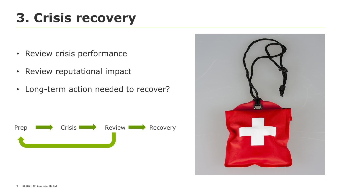# **3. Crisis recovery**

- Review crisis performance
- Review reputational impact
- Long-term action needed to recover?